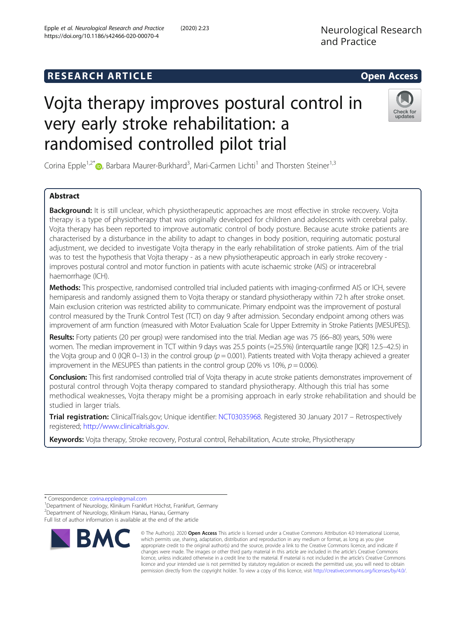## **RESEARCH ARTICLE Example 20 and 20 and 20 and 20 and 20 and 20 and 20 and 20 and 20 and 20 and 20 and 20 and 20 and 20 and 20 and 20 and 20 and 20 and 20 and 20 and 20 and 20 and 20 and 20 and 20 and 20 and 20 and 20 an**

# Vojta therapy improves postural control in very early stroke rehabilitation: a randomised controlled pilot trial

Corina Epple<sup>1[,](http://orcid.org/0000-0001-5739-4299)2\*</sup> (D, Barbara Maurer-Burkhard<sup>3</sup>, Mari-Carmen Lichti<sup>1</sup> and Thorsten Steiner<sup>1,3</sup>

### Abstract

Background: It is still unclear, which physiotherapeutic approaches are most effective in stroke recovery. Vojta therapy is a type of physiotherapy that was originally developed for children and adolescents with cerebral palsy. Vojta therapy has been reported to improve automatic control of body posture. Because acute stroke patients are characterised by a disturbance in the ability to adapt to changes in body position, requiring automatic postural adjustment, we decided to investigate Vojta therapy in the early rehabilitation of stroke patients. Aim of the trial was to test the hypothesis that Vojta therapy - as a new physiotherapeutic approach in early stroke recovery improves postural control and motor function in patients with acute ischaemic stroke (AIS) or intracerebral haemorrhage (ICH).

Methods: This prospective, randomised controlled trial included patients with imaging-confirmed AIS or ICH, severe hemiparesis and randomly assigned them to Vojta therapy or standard physiotherapy within 72 h after stroke onset. Main exclusion criterion was restricted ability to communicate. Primary endpoint was the improvement of postural control measured by the Trunk Control Test (TCT) on day 9 after admission. Secondary endpoint among others was improvement of arm function (measured with Motor Evaluation Scale for Upper Extremity in Stroke Patients [MESUPES]).

Results: Forty patients (20 per group) were randomised into the trial. Median age was 75 (66-80) years, 50% were women. The median improvement in TCT within 9 days was 25.5 points (=25.5%) (interquartile range [IQR] 12.5–42.5) in the Vojta group and 0 (IQR 0–13) in the control group ( $p = 0.001$ ). Patients treated with Vojta therapy achieved a greater improvement in the MESUPES than patients in the control group (20% vs 10%,  $p = 0.006$ ).

Conclusion: This first randomised controlled trial of Vojta therapy in acute stroke patients demonstrates improvement of postural control through Vojta therapy compared to standard physiotherapy. Although this trial has some methodical weaknesses, Vojta therapy might be a promising approach in early stroke rehabilitation and should be studied in larger trials.

Trial registration: ClinicalTrials.gov; Unique identifier: [NCT03035968](https://clinicaltrials.gov/ct2/show/NCT03035968). Registered 30 January 2017 - Retrospectively registered; <http://www.clinicaltrials.gov>.

Keywords: Vojta therapy, Stroke recovery, Postural control, Rehabilitation, Acute stroke, Physiotherapy

\* Correspondence: [corina.epple@gmail.com](mailto:corina.epple@gmail.com) <sup>1</sup>

BMC

<sup>1</sup> Department of Neurology, Klinikum Frankfurt Höchst, Frankfurt, Germany 2 Department of Neurology, Klinikum Hanau, Hanau, Germany

Full list of author information is available at the end of the article

© The Author(s). 2020 Open Access This article is licensed under a Creative Commons Attribution 4.0 International License, which permits use, sharing, adaptation, distribution and reproduction in any medium or format, as long as you give appropriate credit to the original author(s) and the source, provide a link to the Creative Commons licence, and indicate if changes were made. The images or other third party material in this article are included in the article's Creative Commons licence, unless indicated otherwise in a credit line to the material. If material is not included in the article's Creative Commons licence and your intended use is not permitted by statutory regulation or exceeds the permitted use, you will need to obtain permission directly from the copyright holder. To view a copy of this licence, visit [http://creativecommons.org/licenses/by/4.0/.](http://creativecommons.org/licenses/by/4.0/)

Epple et al. Neurological Research and Practice (2020) 2:23 https://doi.org/10.1186/s42466-020-00070-4

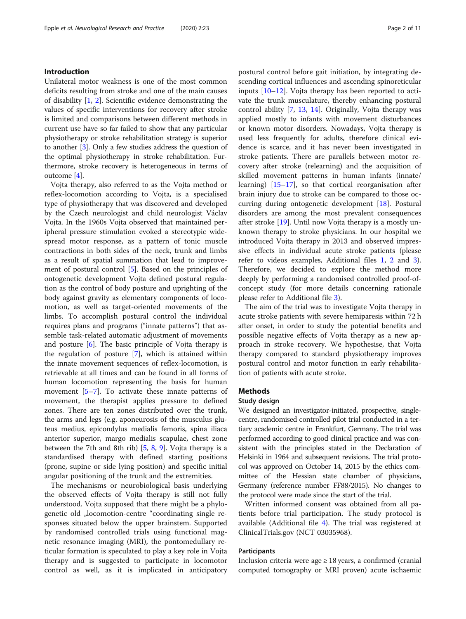#### Introduction

Unilateral motor weakness is one of the most common deficits resulting from stroke and one of the main causes of disability [\[1](#page-9-0), [2\]](#page-9-0). Scientific evidence demonstrating the values of specific interventions for recovery after stroke is limited and comparisons between different methods in current use have so far failed to show that any particular physiotherapy or stroke rehabilitation strategy is superior to another [\[3\]](#page-9-0). Only a few studies address the question of the optimal physiotherapy in stroke rehabilitation. Furthermore, stroke recovery is heterogeneous in terms of outcome [\[4](#page-9-0)].

Vojta therapy, also referred to as the Vojta method or reflex-locomotion according to Vojta, is a specialised type of physiotherapy that was discovered and developed by the Czech neurologist and child neurologist Václav Vojta. In the 1960s Vojta observed that maintained peripheral pressure stimulation evoked a stereotypic widespread motor response, as a pattern of tonic muscle contractions in both sides of the neck, trunk and limbs as a result of spatial summation that lead to improvement of postural control [[5\]](#page-9-0). Based on the principles of ontogenetic development Vojta defined postural regulation as the control of body posture and uprighting of the body against gravity as elementary components of locomotion, as well as target-oriented movements of the limbs. To accomplish postural control the individual requires plans and programs ("innate patterns") that assemble task-related automatic adjustment of movements and posture  $[6]$  $[6]$ . The basic principle of Vojta therapy is the regulation of posture [[7\]](#page-9-0), which is attained within the innate movement sequences of reflex-locomotion, is retrievable at all times and can be found in all forms of human locomotion representing the basis for human movement [\[5](#page-9-0)–[7](#page-9-0)]. To activate these innate patterns of movement, the therapist applies pressure to defined zones. There are ten zones distributed over the trunk, the arms and legs (e.g. aponeurosis of the musculus gluteus medius, epicondylus medialis femoris, spina iliaca anterior superior, margo medialis scapulae, chest zone between the 7th and 8th rib) [[5,](#page-9-0) [8](#page-9-0), [9\]](#page-9-0). Vojta therapy is a standardised therapy with defined starting positions (prone, supine or side lying position) and specific initial angular positioning of the trunk and the extremities.

The mechanisms or neurobiological basis underlying the observed effects of Vojta therapy is still not fully understood. Vojta supposed that there might be a phylogenetic old "locomotion-centre "coordinating single responses situated below the upper brainstem. Supported by randomised controlled trials using functional magnetic resonance imaging (MRI), the pontomedullary reticular formation is speculated to play a key role in Vojta therapy and is suggested to participate in locomotor control as well, as it is implicated in anticipatory postural control before gait initiation, by integrating descending cortical influences and ascending spinoreticular inputs [[10](#page-9-0)–[12](#page-9-0)]. Vojta therapy has been reported to activate the trunk musculature, thereby enhancing postural control ability [\[7](#page-9-0), [13](#page-9-0), [14](#page-9-0)]. Originally, Vojta therapy was applied mostly to infants with movement disturbances or known motor disorders. Nowadays, Vojta therapy is used less frequently for adults, therefore clinical evidence is scarce, and it has never been investigated in stroke patients. There are parallels between motor recovery after stroke (relearning) and the acquisition of skilled movement patterns in human infants (innate/ learning)  $[15-17]$  $[15-17]$  $[15-17]$ , so that cortical reorganisation after brain injury due to stroke can be compared to those occurring during ontogenetic development [[18\]](#page-9-0). Postural disorders are among the most prevalent consequences after stroke [\[19](#page-9-0)]. Until now Vojta therapy is a mostly unknown therapy to stroke physicians. In our hospital we introduced Vojta therapy in 2013 and observed impressive effects in individual acute stroke patients (please refer to videos examples, Additional files [1](#page-8-0), [2](#page-8-0) and [3](#page-8-0)). Therefore, we decided to explore the method more deeply by performing a randomised controlled proof-ofconcept study (for more details concerning rationale please refer to Additional file [3\)](#page-8-0).

The aim of the trial was to investigate Vojta therapy in acute stroke patients with severe hemiparesis within 72 h after onset, in order to study the potential benefits and possible negative effects of Vojta therapy as a new approach in stroke recovery. We hypothesise, that Vojta therapy compared to standard physiotherapy improves postural control and motor function in early rehabilitation of patients with acute stroke.

#### Methods

#### Study design

We designed an investigator-initiated, prospective, singlecentre, randomised controlled pilot trial conducted in a tertiary academic centre in Frankfurt, Germany. The trial was performed according to good clinical practice and was consistent with the principles stated in the Declaration of Helsinki in 1964 and subsequent revisions. The trial protocol was approved on October 14, 2015 by the ethics committee of the Hessian state chamber of physicians, Germany (reference number FF88/2015). No changes to the protocol were made since the start of the trial.

Written informed consent was obtained from all patients before trial participation. The study protocol is available (Additional file [4](#page-8-0)). The trial was registered at ClinicalTrials.gov (NCT 03035968).

#### Participants

Inclusion criteria were age  $\geq 18$  years, a confirmed (cranial computed tomography or MRI proven) acute ischaemic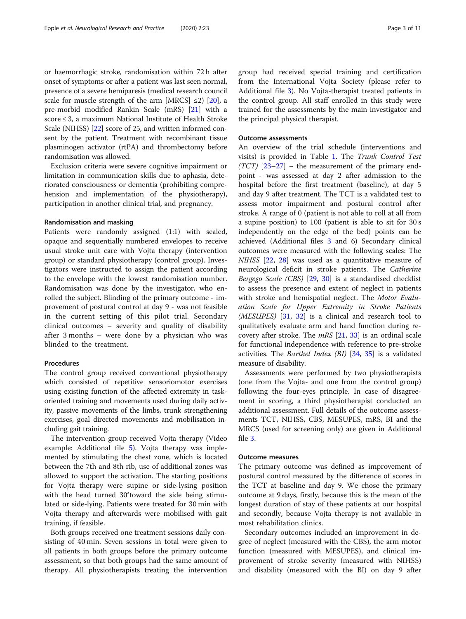or haemorrhagic stroke, randomisation within 72 h after onset of symptoms or after a patient was last seen normal, presence of a severe hemiparesis (medical research council scale for muscle strength of the arm [MRCS]  $\leq$ 2) [[20](#page-9-0)], a pre-morbid modified Rankin Scale (mRS) [\[21\]](#page-9-0) with a score ≤ 3, a maximum National Institute of Health Stroke Scale (NIHSS) [[22](#page-9-0)] score of 25, and written informed consent by the patient. Treatment with recombinant tissue plasminogen activator (rtPA) and thrombectomy before randomisation was allowed.

Exclusion criteria were severe cognitive impairment or limitation in communication skills due to aphasia, deteriorated consciousness or dementia (prohibiting comprehension and implementation of the physiotherapy), participation in another clinical trial, and pregnancy.

#### Randomisation and masking

Patients were randomly assigned (1:1) with sealed, opaque and sequentially numbered envelopes to receive usual stroke unit care with Vojta therapy (intervention group) or standard physiotherapy (control group). Investigators were instructed to assign the patient according to the envelope with the lowest randomisation number. Randomisation was done by the investigator, who enrolled the subject. Blinding of the primary outcome - improvement of postural control at day 9 - was not feasible in the current setting of this pilot trial. Secondary clinical outcomes – severity and quality of disability after 3 months – were done by a physician who was blinded to the treatment.

#### Procedures

The control group received conventional physiotherapy which consisted of repetitive sensoriomotor exercises using existing function of the affected extremity in taskoriented training and movements used during daily activity, passive movements of the limbs, trunk strengthening exercises, goal directed movements and mobilisation including gait training.

The intervention group received Vojta therapy (Video example: Additional file [5\)](#page-8-0). Vojta therapy was implemented by stimulating the chest zone, which is located between the 7th and 8th rib, use of additional zones was allowed to support the activation. The starting positions for Vojta therapy were supine or side-lysing position with the head turned 30°toward the side being stimulated or side-lying. Patients were treated for 30 min with Vojta therapy and afterwards were mobilised with gait training, if feasible.

Both groups received one treatment sessions daily consisting of 40 min. Seven sessions in total were given to all patients in both groups before the primary outcome assessment, so that both groups had the same amount of therapy. All physiotherapists treating the intervention group had received special training and certification from the International Vojta Society (please refer to Additional file [3\)](#page-8-0). No Vojta-therapist treated patients in the control group. All staff enrolled in this study were trained for the assessments by the main investigator and the principal physical therapist.

#### Outcome assessments

An overview of the trial schedule (interventions and visits) is provided in Table [1](#page-3-0). The Trunk Control Test  $(TCT)$  [[23](#page-9-0)–[27](#page-9-0)] – the measurement of the primary endpoint - was assessed at day 2 after admission to the hospital before the first treatment (baseline), at day 5 and day 9 after treatment. The TCT is a validated test to assess motor impairment and postural control after stroke. A range of 0 (patient is not able to roll at all from a supine position) to 100 (patient is able to sit for 30 s independently on the edge of the bed) points can be achieved (Additional files [3](#page-8-0) and 6) Secondary clinical outcomes were measured with the following scales: The NIHSS [[22,](#page-9-0) [28](#page-9-0)] was used as a quantitative measure of neurological deficit in stroke patients. The Catherine Bergego Scale (CBS) [\[29](#page-9-0), [30](#page-9-0)] is a standardised checklist to assess the presence and extent of neglect in patients with stroke and hemispatial neglect. The Motor Evaluation Scale for Upper Extremity in Stroke Patients (MESUPES) [\[31](#page-9-0), [32](#page-9-0)] is a clinical and research tool to qualitatively evaluate arm and hand function during recovery after stroke. The  $mRS$  [[21,](#page-9-0) [33](#page-9-0)] is an ordinal scale for functional independence with reference to pre-stroke activities. The Barthel Index (BI) [\[34,](#page-9-0) [35\]](#page-9-0) is a validated measure of disability.

Assessments were performed by two physiotherapists (one from the Vojta- and one from the control group) following the four-eyes principle. In case of disagreement in scoring, a third physiotherapist conducted an additional assessment. Full details of the outcome assessments TCT, NIHSS, CBS, MESUPES, mRS, BI and the MRCS (used for screening only) are given in Additional  $file 3$ 

#### Outcome measures

The primary outcome was defined as improvement of postural control measured by the difference of scores in the TCT at baseline and day 9. We chose the primary outcome at 9 days, firstly, because this is the mean of the longest duration of stay of these patients at our hospital and secondly, because Vojta therapy is not available in most rehabilitation clinics.

Secondary outcomes included an improvement in degree of neglect (measured with the CBS), the arm motor function (measured with MESUPES), and clinical improvement of stroke severity (measured with NIHSS) and disability (measured with the BI) on day 9 after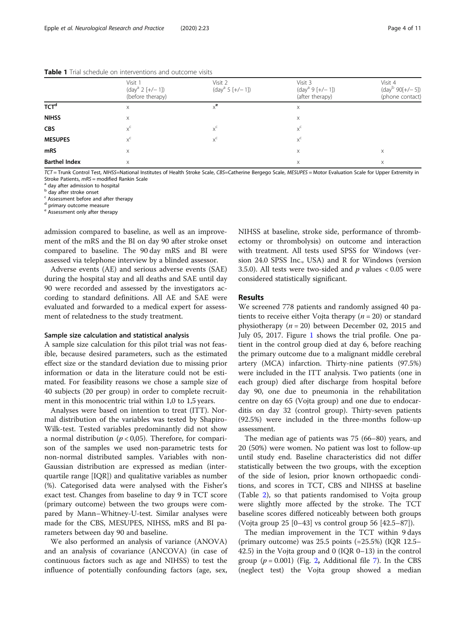|                      | Visit 1<br>$(\text{day}^a 2 [+/- 1])$<br>(before therapy) | Visit 2<br>$\frac{1}{2}$ (day <sup>a</sup> 5 [+/-1]) | Visit 3<br>$(\text{day}^a 9 [+/- 1])$<br>(after therapy) | Visit 4<br>$(\text{day}^b 90[+/- 5])$<br>(phone contact) |
|----------------------|-----------------------------------------------------------|------------------------------------------------------|----------------------------------------------------------|----------------------------------------------------------|
| TCT <sup>d</sup>     | X                                                         | $x^{\mathbf{e}}$                                     | X                                                        |                                                          |
| <b>NIHSS</b>         | X                                                         |                                                      | X                                                        |                                                          |
| <b>CBS</b>           | $x^c$                                                     | $X^{\mathsf{C}}$                                     | $x^c$                                                    |                                                          |
| <b>MESUPES</b>       | $x^c$                                                     | $X_c$                                                | $x^c$                                                    |                                                          |
| mRS                  | X                                                         |                                                      | X                                                        | X                                                        |
| <b>Barthel Index</b> | X                                                         |                                                      | X                                                        | X                                                        |

<span id="page-3-0"></span>Table 1 Trial schedule on interventions and outcome visits

TCT = Trunk Control Test, NIHSS=National Institutes of Health Stroke Scale, CBS=Catherine Bergego Scale, MESUPES = Motor Evaluation Scale for Upper Extremity in Stroke Patients,  $mRS$  = modified Rankin Scale  $a$  day after admission to hospital

**b** day after stroke onset

<sup>c</sup> Assessment before and after therapy

primary outcome measure

<sup>e</sup> Assessment only after therapy

admission compared to baseline, as well as an improvement of the mRS and the BI on day 90 after stroke onset compared to baseline. The 90 day mRS and BI were assessed via telephone interview by a blinded assessor.

Adverse events (AE) and serious adverse events (SAE) during the hospital stay and all deaths and SAE until day 90 were recorded and assessed by the investigators according to standard definitions. All AE and SAE were evaluated and forwarded to a medical expert for assessment of relatedness to the study treatment.

#### Sample size calculation and statistical analysis

A sample size calculation for this pilot trial was not feasible, because desired parameters, such as the estimated effect size or the standard deviation due to missing prior information or data in the literature could not be estimated. For feasibility reasons we chose a sample size of 40 subjects (20 per group) in order to complete recruitment in this monocentric trial within 1,0 to 1,5 years.

Analyses were based on intention to treat (ITT). Normal distribution of the variables was tested by Shapiro-Wilk-test. Tested variables predominantly did not show a normal distribution ( $p < 0.05$ ). Therefore, for comparison of the samples we used non-parametric tests for non-normal distributed samples. Variables with non-Gaussian distribution are expressed as median (interquartile range [IQR]) and qualitative variables as number (%). Categorised data were analysed with the Fisher's exact test. Changes from baseline to day 9 in TCT score (primary outcome) between the two groups were compared by Mann–Whitney-U-test. Similar analyses were made for the CBS, MESUPES, NIHSS, mRS and BI parameters between day 90 and baseline.

We also performed an analysis of variance (ANOVA) and an analysis of covariance (ANCOVA) (in case of continuous factors such as age and NIHSS) to test the influence of potentially confounding factors (age, sex, NIHSS at baseline, stroke side, performance of thrombectomy or thrombolysis) on outcome and interaction with treatment. All tests used SPSS for Windows (version 24.0 SPSS Inc., USA) and R for Windows (version 3.5.0). All tests were two-sided and  $p$  values < 0.05 were considered statistically significant.

#### Results

We screened 778 patients and randomly assigned 40 patients to receive either Vojta therapy ( $n = 20$ ) or standard physiotherapy  $(n = 20)$  between December 02, 2015 and July 05, 2017. Figure [1](#page-4-0) shows the trial profile. One patient in the control group died at day 6, before reaching the primary outcome due to a malignant middle cerebral artery (MCA) infarction. Thirty-nine patients (97.5%) were included in the ITT analysis. Two patients (one in each group) died after discharge from hospital before day 90, one due to pneumonia in the rehabilitation centre on day 65 (Vojta group) and one due to endocarditis on day 32 (control group). Thirty-seven patients (92.5%) were included in the three-months follow-up assessment.

The median age of patients was 75 (66–80) years, and 20 (50%) were women. No patient was lost to follow-up until study end. Baseline characteristics did not differ statistically between the two groups, with the exception of the side of lesion, prior known orthopaedic conditions, and scores in TCT, CBS and NIHSS at baseline (Table [2\)](#page-5-0), so that patients randomised to Vojta group were slightly more affected by the stroke. The TCT baseline scores differed noticeably between both groups (Vojta group 25 [0–43] vs control group 56 [42.5–87]).

The median improvement in the TCT within 9 days (primary outcome) was 25.5 points (=25.5%) (IQR 12.5– 42.5) in the Vojta group and 0 (IQR 0–13) in the control group ( $p = 0.001$ ) (Fig. [2](#page-6-0), Additional file [7\)](#page-8-0). In the CBS (neglect test) the Vojta group showed a median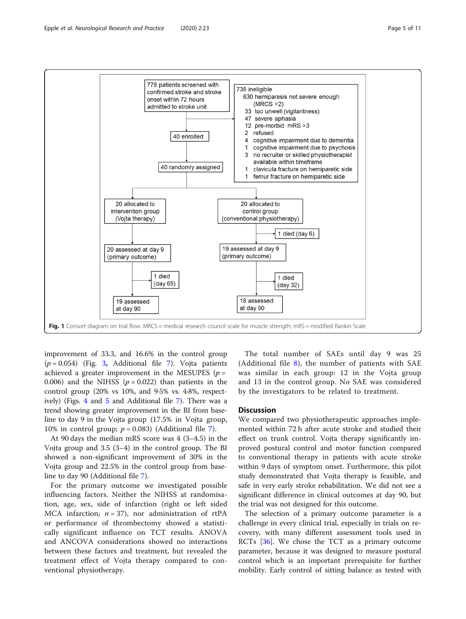<span id="page-4-0"></span>

improvement of 33.3, and 16.6% in the control group  $(p = 0.054)$  (Fig. [3](#page-6-0), Additional file [7](#page-8-0)). Vojta patients achieved a greater improvement in the MESUPES ( $p =$ 0.006) and the NIHSS  $(p = 0.022)$  than patients in the control group (20% vs 10%, and 9·5% vs. 4·8%, respect-ively) (Figs. [4](#page-7-0) and [5](#page-7-0) and Additional file [7\)](#page-8-0). There was a trend showing greater improvement in the BI from baseline to day 9 in the Vojta group (17.5% in Vojta group, 10% in control group;  $p = 0.083$ ) (Additional file [7\)](#page-8-0).

At 90 days the median mRS score was 4 (3–4.5) in the Vojta group and 3.5 (3–4) in the control group. The BI showed a non-significant improvement of 30% in the Vojta group and 22.5% in the control group from baseline to day 90 (Additional file [7\)](#page-8-0).

For the primary outcome we investigated possible influencing factors. Neither the NIHSS at randomisation, age, sex, side of infarction (right or left sided MCA infarction;  $n = 37$ ), nor administration of rtPA or performance of thrombectomy showed a statistically significant influence on TCT results. ANOVA and ANCOVA considerations showed no interactions between these factors and treatment, but revealed the treatment effect of Vojta therapy compared to conventional physiotherapy.

The total number of SAEs until day 9 was 25 (Additional file [8](#page-8-0)), the number of patients with SAE was similar in each group: 12 in the Vojta group and 13 in the control group. No SAE was considered by the investigators to be related to treatment.

#### **Discussion**

We compared two physiotherapeutic approaches implemented within 72 h after acute stroke and studied their effect on trunk control. Vojta therapy significantly improved postural control and motor function compared to conventional therapy in patients with acute stroke within 9 days of symptom onset. Furthermore, this pilot study demonstrated that Vojta therapy is feasible, and safe in very early stroke rehabilitation. We did not see a significant difference in clinical outcomes at day 90, but the trial was not designed for this outcome.

The selection of a primary outcome parameter is a challenge in every clinical trial, especially in trials on recovery, with many different assessment tools used in RCTs [[36](#page-9-0)]. We chose the TCT as a primary outcome parameter, because it was designed to measure postural control which is an important prerequisite for further mobility. Early control of sitting balance as tested with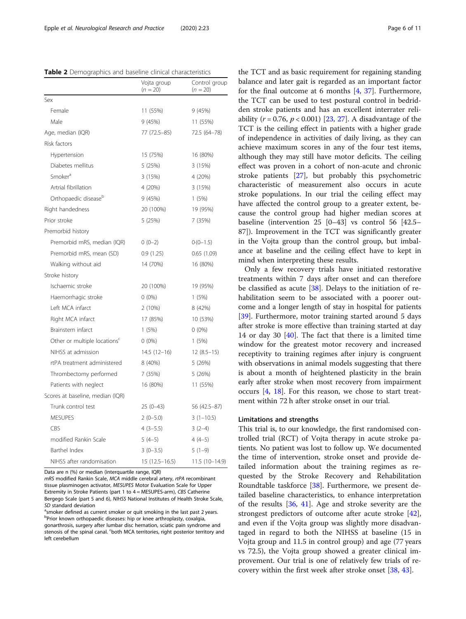<span id="page-5-0"></span>Table 2 Demographics and baseline clinical characteristics

|                                          | Vojta group<br>$(n = 20)$ | Control group<br>$(n = 20)$ |
|------------------------------------------|---------------------------|-----------------------------|
| Sex                                      |                           |                             |
| Female                                   | 11 (55%)                  | 9 (45%)                     |
| Male                                     | 9 (45%)                   | 11 (55%)                    |
| Age, median (IQR)                        | 77 (72.5-85)              | 72.5 (64-78)                |
| Risk factors                             |                           |                             |
| Hypertension                             | 15 (75%)                  | 16 (80%)                    |
| Diabetes mellitus                        | 5 (25%)                   | 3 (15%)                     |
| Smoker <sup>a</sup>                      | 3 (15%)                   | 4 (20%)                     |
| Artrial fibrillation                     | 4 (20%)                   | 3(15%)                      |
| Orthopaedic disease <sup>b</sup>         | 9(45%)                    | 1(5%)                       |
| Right handedness                         | 20 (100%)                 | 19 (95%)                    |
| Prior stroke                             | 5 (25%)                   | 7 (35%)                     |
| Premorbid history                        |                           |                             |
| Premorbid mRS, median (IQR)              | $0(0-2)$                  | $0(0-1.5)$                  |
| Premorbid mRS, mean (SD)                 | 0.9(1.25)                 | 0.65(1.09)                  |
| Walking without aid                      | 14 (70%)                  | 16 (80%)                    |
| Stroke history                           |                           |                             |
| Ischaemic stroke                         | 20 (100%)                 | 19 (95%)                    |
| Haemorrhagic stroke                      | $0(0\%)$                  | 1(5%)                       |
| Left MCA infarct                         | 2(10%)                    | 8 (42%)                     |
| Right MCA infarct                        | 17 (85%)                  | 10 (53%)                    |
| Brainstem infarct                        | 1(5%)                     | $0(0\%)$                    |
| Other or multiple locations <sup>c</sup> | $0(0\%)$                  | 1(5%)                       |
| NIHSS at admission                       | $14.5(12-16)$             | $12(8.5-15)$                |
| rtPA treatment administered              | 8 (40%)                   | 5 (26%)                     |
| Thrombectomy performed                   | 7 (35%)                   | 5 (26%)                     |
| Patients with neglect                    | 16 (80%)                  | 11 (55%)                    |
| Scores at baseline, median (IQR)         |                           |                             |
| Trunk control test                       | $25(0-43)$                | 56 (42.5-87)                |
| <b>MESUPES</b>                           | $2(0-5.0)$                | $3(1-10.5)$                 |
| CBS                                      | $4(3-5.5)$                | $3(2-4)$                    |
| modified Rankin Scale                    | $5(4-5)$                  | $4(4-5)$                    |
| <b>Barthel Index</b>                     | $3(0-3.5)$                | $5(1-9)$                    |
| NIHSS after randomisation                | $15(12.5 - 16.5)$         | 11.5 (10-14.9)              |

Data are n (%) or median (interquartile range, IOR)

mRS modified Rankin Scale, MCA middle cerebral artery, rtPA recombinant tissue plasminogen activator, MESUPES Motor Evaluation Scale for Upper Extremity in Stroke Patients (part 1 to 4 = MESUPES-arm), CBS Catherine Bergego Scale (part 5 and 6), NIHSS National Institutes of Health Stroke Scale, SD standard deviation

<sup>a</sup>smoker defined as current smoker or quit smoking in the last past 2 years. b Prior known orthopaedic diseases: hip or knee arthroplasty, coxalgia, gonarthrosis, surgery after lumbar disc hernation, sciatic pain syndrome and -<br>stenosis of the spinal canal. <sup>c</sup>both MCA territories, right posterior territory and left cerebellum

the TCT and as basic requirement for regaining standing balance and later gait is regarded as an important factor for the final outcome at 6 months [[4,](#page-9-0) [37](#page-9-0)]. Furthermore, the TCT can be used to test postural control in bedridden stroke patients and has an excellent interrater reliability ( $r = 0.76$ ,  $p < 0.001$ ) [\[23](#page-9-0), [27](#page-9-0)]. A disadvantage of the TCT is the ceiling effect in patients with a higher grade of independence in activities of daily living, as they can achieve maximum scores in any of the four test items, although they may still have motor deficits. The ceiling effect was proven in a cohort of non-acute and chronic stroke patients [\[27](#page-9-0)], but probably this psychometric characteristic of measurement also occurs in acute stroke populations. In our trial the ceiling effect may have affected the control group to a greater extent, because the control group had higher median scores at baseline (intervention 25 [0–43] vs control 56 [42.5– 87]). Improvement in the TCT was significantly greater in the Vojta group than the control group, but imbalance at baseline and the ceiling effect have to kept in mind when interpreting these results.

Only a few recovery trials have initiated restorative treatments within 7 days after onset and can therefore be classified as acute [[38\]](#page-9-0). Delays to the initiation of rehabilitation seem to be associated with a poorer outcome and a longer length of stay in hospital for patients [[39\]](#page-9-0). Furthermore, motor training started around 5 days after stroke is more effective than training started at day 14 or day 30 [\[40\]](#page-10-0). The fact that there is a limited time window for the greatest motor recovery and increased receptivity to training regimes after injury is congruent with observations in animal models suggesting that there is about a month of heightened plasticity in the brain early after stroke when most recovery from impairment occurs [[4,](#page-9-0) [18\]](#page-9-0). For this reason, we chose to start treatment within 72 h after stroke onset in our trial.

#### Limitations and strengths

This trial is, to our knowledge, the first randomised controlled trial (RCT) of Vojta therapy in acute stroke patients. No patient was lost to follow up. We documented the time of intervention, stroke onset and provide detailed information about the training regimes as requested by the Stroke Recovery and Rehabilitation Roundtable taskforce [\[38\]](#page-9-0). Furthermore, we present detailed baseline characteristics, to enhance interpretation of the results [[36](#page-9-0), [41\]](#page-10-0). Age and stroke severity are the strongest predictors of outcome after acute stroke [\[42](#page-10-0)], and even if the Vojta group was slightly more disadvantaged in regard to both the NIHSS at baseline (15 in Vojta group and 11.5 in control group) and age (77 years vs 72.5), the Vojta group showed a greater clinical improvement. Our trial is one of relatively few trials of recovery within the first week after stroke onset [[38,](#page-9-0) [43](#page-10-0)].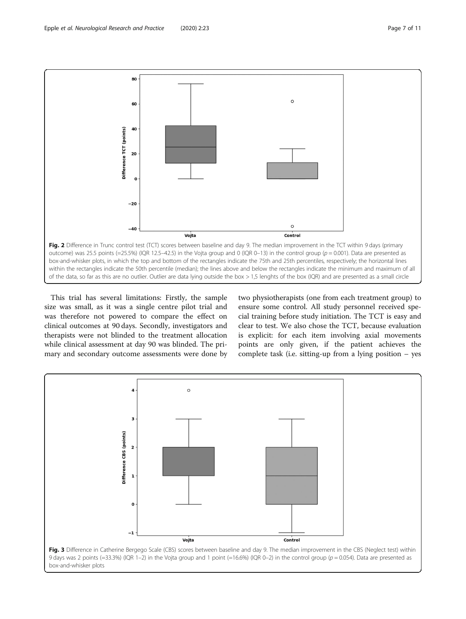<span id="page-6-0"></span>

This trial has several limitations: Firstly, the sample size was small, as it was a single centre pilot trial and was therefore not powered to compare the effect on clinical outcomes at 90 days. Secondly, investigators and therapists were not blinded to the treatment allocation while clinical assessment at day 90 was blinded. The primary and secondary outcome assessments were done by

two physiotherapists (one from each treatment group) to ensure some control. All study personnel received special training before study initiation. The TCT is easy and clear to test. We also chose the TCT, because evaluation is explicit: for each item involving axial movements points are only given, if the patient achieves the complete task (i.e. sitting-up from a lying position – yes

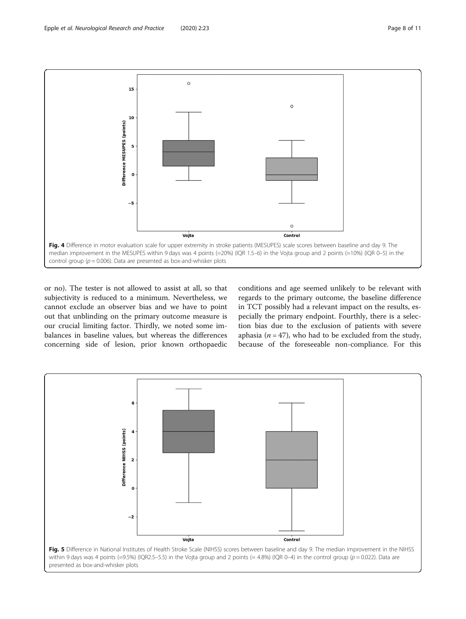<span id="page-7-0"></span>

or no). The tester is not allowed to assist at all, so that subjectivity is reduced to a minimum. Nevertheless, we cannot exclude an observer bias and we have to point out that unblinding on the primary outcome measure is our crucial limiting factor. Thirdly, we noted some imbalances in baseline values, but whereas the differences concerning side of lesion, prior known orthopaedic

conditions and age seemed unlikely to be relevant with regards to the primary outcome, the baseline difference in TCT possibly had a relevant impact on the results, especially the primary endpoint. Fourthly, there is a selection bias due to the exclusion of patients with severe aphasia ( $n = 47$ ), who had to be excluded from the study, because of the foreseeable non-compliance. For this

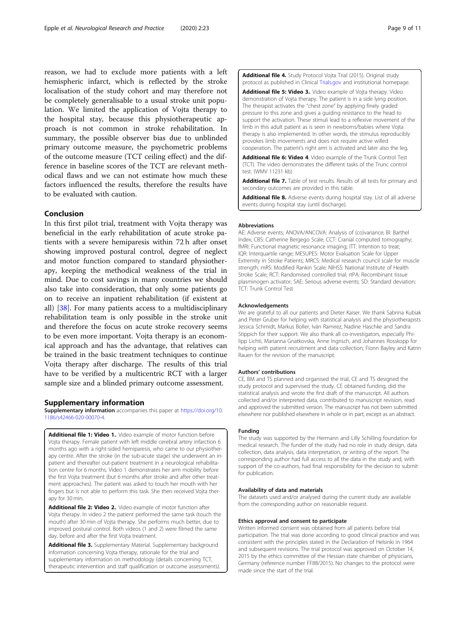<span id="page-8-0"></span>reason, we had to exclude more patients with a left hemispheric infarct, which is reflected by the stroke localisation of the study cohort and may therefore not be completely generalisable to a usual stroke unit population. We limited the application of Vojta therapy to the hospital stay, because this physiotherapeutic approach is not common in stroke rehabilitation. In summary, the possible observer bias due to unblinded primary outcome measure, the psychometric problems of the outcome measure (TCT ceiling effect) and the difference in baseline scores of the TCT are relevant methodical flaws and we can not estimate how much these factors influenced the results, therefore the results have to be evaluated with caution.

#### Conclusion

In this first pilot trial, treatment with Vojta therapy was beneficial in the early rehabilitation of acute stroke patients with a severe hemiparesis within 72 h after onset showing improved postural control, degree of neglect and motor function compared to standard physiotherapy, keeping the methodical weakness of the trial in mind. Due to cost savings in many countries we should also take into consideration, that only some patients go on to receive an inpatient rehabilitation (if existent at all) [\[38\]](#page-9-0). For many patients access to a multidisciplinary rehabilitation team is only possible in the stroke unit and therefore the focus on acute stroke recovery seems to be even more important. Vojta therapy is an economical approach and has the advantage, that relatives can be trained in the basic treatment techniques to continue Vojta therapy after discharge. The results of this trial have to be verified by a multicentric RCT with a larger sample size and a blinded primary outcome assessment.

#### Supplementary information

Supplementary information accompanies this paper at [https://doi.org/10.](https://doi.org/10.1186/s42466-020-00070-4) [1186/s42466-020-00070-4](https://doi.org/10.1186/s42466-020-00070-4).

Additional file 1: Video 1. Video example of motor function before Vojta therapy. Female patient with left middle cerebral artery infarction 6 months ago with a right-sided hemiparesis, who came to our physiotherapy centre. After the stroke (in the sub-acute stage) she underwent an inpatient and thereafter out-patient treatment in a neurological rehabilitation centre for 6 months. Video 1 demonstrates her arm mobility before the first Vojta treatment (but 6 months after stroke and after other treatment approaches). The patient was asked to touch her mouth with her fingers but is not able to perform this task. She then received Vojta therapy for 30 min.

Additional file 2: Video 2. Video example of motor function after Vojta therapy. In video 2 the patient performed the same task (touch the mouth) after 30 min of Vojta therapy. She performs much better, due to improved postural control. Both videos (1 and 2) were filmed the same day, before and after the first Vojta treatment.

Additional file 3. Supplementary Material. Supplementary background information concerning Vojta therapy, rationale for the trial and supplementary information on methodology (details concerning TCT, therapeutic intervention and staff qualification or outcome assessments). Additional file 4. Study Protocol Vojta Trial (2015). Original study protocol as published in Clinical Trials.gov and institutional homepage.

Additional file 5: Video 3. Video example of Vojta therapy. Video demonstration of Vojta therapy. The patient is in a side lying position. The therapist activates the "chest zone" by applying finely graded pressure to this zone and gives a guiding resistance to the head to support the activation. These stimuli lead to a reflexive movement of the limb in this adult patient as is seen in newborns/babies where Vojta therapy is also implemented. In other words, the stimulus reproducibly provokes limb movements and does not require active willed cooperation. The patient's right arm is activated and later also the leg.

Additional file 6: Video 4. Video example of the Trunk Control Test (TCT). The video demonstrates the different tasks of the Trunc control test. (WMV 11231 kb)

Additional file 7. Table of test results. Results of all tests for primary and secondary outcomes are provided in this table.

Additional file 8. Adverse events during hospital stay. List of all adverse events during hospital stay (until discharge).

#### Abbreviations

AE: Adverse events; ANOVA/ANCOVA: Analysis of (co)variance; BI: Barthel Index; CBS: Catherine Bergego Scale; CCT: Cranial computed tomography; fMRI: Functional magnetic resonance imaging; ITT: Intention to treat; IQR: Interquartile range; MESUPES: Motor Evaluation Scale for Upper Extremity in Stroke Patients; MRCS: Medical research council scale for muscle strength; mRS: Modified Rankin Scale; NIHSS: National Institute of Health Stroke Scale; RCT: Randomised controlled trial; rtPA: Recombinant tissue plasminogen activator; SAE: Serious adverse events; SD: Standard deviation; TCT: Trunk Control Test

#### Acknowledgements

We are grateful to all our patients and Dieter Kaiser. We thank Sabrina Kubiak and Peter Gruber for helping with statistical analysis and the physiotherapists Jessica Schmidt, Markus Boller, Iván Ramirez, Nadine Haschke and Sandra Stippich for their support. We also thank all co-investigators, especially Philipp Lichti, Marianna Gnatkovska, Anne Ingrisch, and Johannes Rosskopp for helping with patient recruitment and data collection; Fionn Bayley and Katrin Rauen for the revision of the manuscript.

#### Authors' contributions

CE, BM and TS planned and organised the trial, CE and TS designed the study protocol and supervised the study. CE obtained funding, did the statistical analysis and wrote the first draft of the manuscript. All authors collected and/or interpreted data, contributed to manuscript revision, read and approved the submitted version. The manuscript has not been submitted elsewhere nor published elsewhere in whole or in part, except as an abstract.

#### Funding

The study was supported by the Hermann and Lilly Schilling foundation for medical research. The funder of the study had no role in study design, data collection, data analysis, data interpretation, or writing of the report. The corresponding author had full access to all the data in the study and, with support of the co-authors, had final responsibility for the decision to submit for publication.

#### Availability of data and materials

The datasets used and/or analysed during the current study are available from the corresponding author on reasonable request.

#### Ethics approval and consent to participate

Written informed consent was obtained from all patients before trial participation. The trial was done according to good clinical practice and was consistent with the principles stated in the Declaration of Helsinki in 1964 and subsequent revisions. The trial protocol was approved on October 14, 2015 by the ethics committee of the Hessian state chamber of physicians, Germany (reference number FF88/2015). No changes to the protocol were made since the start of the trial.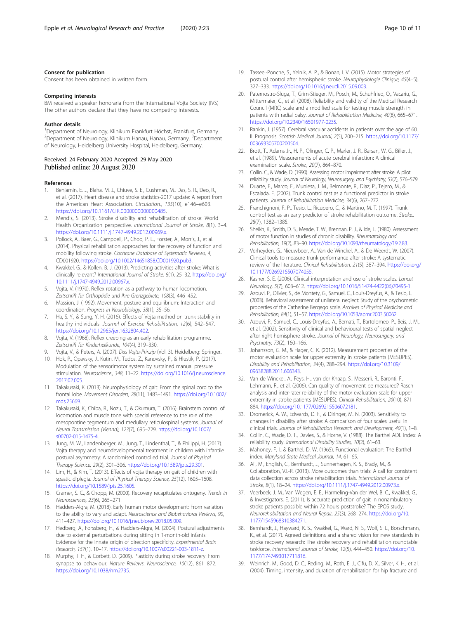#### <span id="page-9-0"></span>Consent for publication

Consent has been obtained in written form.

#### Competing interests

BM received a speaker honoraria from the International Vojta Society (IVS) The other authors declare that they have no competing interests.

#### Author details

<sup>1</sup>Department of Neurology, Klinikum Frankfurt Höchst, Frankfurt, Germany. <sup>2</sup>Department of Neurology, Klinikum Hanau, Hanau, Germany. <sup>3</sup>Department of Neurology, Heidelberg University Hospital, Heidelberg, Germany.

#### Received: 24 February 2020 Accepted: 29 May 2020 Published online: 20 August 2020

#### References

- 1. Benjamin, E. J., Blaha, M. J., Chiuve, S. E., Cushman, M., Das, S. R., Deo, R., et al. (2017). Heart disease and stroke statistics-2017 update: A report from the American Heart Association. Circulation., 135(10), e146–e603. <https://doi.org/10.1161/CIR.0000000000000485>.
- 2. Mendis, S. (2013). Stroke disability and rehabilitation of stroke: World Health Organization perspective. International Journal of Stroke, 8(1), 3–4. [https://doi.org/10.1111/j.1747-4949.2012.00969.x.](https://doi.org/10.1111/j.1747-4949.2012.00969.x)
- Pollock, A., Baer, G., Campbell, P., Choo, P. L., Forster, A., Morris, J., et al. (2014). Physical rehabilitation approaches for the recovery of function and mobility following stroke. Cochrane Database of Systematic Reviews, 4, CD001920. [https://doi.org/10.1002/14651858.CD001920.pub3.](https://doi.org/10.1002/14651858.CD001920.pub3)
- 4. Kwakkel, G., & Kollen, B. J. (2013). Predicting activities after stroke: What is clinically relevant? International Journal of Stroke, 8(1), 25–32. [https://doi.org/](https://doi.org/10.1111/j.1747-4949.2012.00967.x) [10.1111/j.1747-4949.2012.00967.x](https://doi.org/10.1111/j.1747-4949.2012.00967.x).
- Vojta, V. (1970). Reflex rotation as a pathway to human locomotion. Zeitschrift für Orthopädie und Ihre Grenzgebiete, 108(3), 446–452.
- 6. Massion, J. (1992). Movement, posture and equilibrium: Interaction and coordination. Progress in Neurobiology, 38(1), 35–56.
- 7. Ha, S. Y., & Sung, Y. H. (2016). Effects of Vojta method on trunk stability in healthy individuals. Journal of Exercise Rehabilitation, 12(6), 542–547. <https://doi.org/10.12965/jer.1632804.402>.
- 8. Vojta, V. (1968). Reflex creeping as an early rehabilitation programme. Zeitschrift für Kinderheilkunde, 104(4), 319–330.
- 9. Vojta, V., & Peters, A. (2007). Das Vojta-Prinzip (Vol. 3). Heidelberg: Springer.
- 10. Hok, P., Opavsky, J., Kutin, M., Tudos, Z., Kanovsky, P., & Hlustik, P. (2017). Modulation of the sensorimotor system by sustained manual pressure stimulation. Neuroscience., 348, 11–22. [https://doi.org/10.1016/j.neuroscience.](https://doi.org/10.1016/j.neuroscience.2017.02.005) [2017.02.005.](https://doi.org/10.1016/j.neuroscience.2017.02.005)
- 11. Takakusaki, K. (2013). Neurophysiology of gait: From the spinal cord to the frontal lobe. Movement Disorders, 28(11), 1483–1491. [https://doi.org/10.1002/](https://doi.org/10.1002/mds.25669) [mds.25669](https://doi.org/10.1002/mds.25669).
- 12. Takakusaki, K., Chiba, R., Nozu, T., & Okumura, T. (2016). Brainstem control of locomotion and muscle tone with special reference to the role of the mesopontine tegmentum and medullary reticulospinal systems. Journal of Neural Transmission (Vienna), 123(7), 695–729. [https://doi.org/10.1007/](https://doi.org/10.1007/s00702-015-1475-4) [s00702-015-1475-4.](https://doi.org/10.1007/s00702-015-1475-4)
- 13. Jung, M. W., Landenberger, M., Jung, T., Lindenthal, T., & Philippi, H. (2017). Vojta therapy and neurodevelopmental treatment in children with infantile postural asymmetry: A randomised controlled trial. Journal of Physical Therapy Science, 29(2), 301–306. [https://doi.org/10.1589/jpts.29.301.](https://doi.org/10.1589/jpts.29.301)
- 14. Lim, H., & Kim, T. (2013). Effects of vojta therapy on gait of children with spastic diplegia. Journal of Physical Therapy Science, 25(12), 1605–1608. [https://doi.org/10.1589/jpts.25.1605.](https://doi.org/10.1589/jpts.25.1605)
- 15. Cramer, S. C., & Chopp, M. (2000). Recovery recapitulates ontogeny. Trends in Neurosciences, 23(6), 265–271.
- 16. Hadders-Algra, M. (2018). Early human motor development: From variation to the ability to vary and adapt. Neuroscience and Biobehavioral Reviews, 90, 411–427. [https://doi.org/10.1016/j.neubiorev.2018.05.009.](https://doi.org/10.1016/j.neubiorev.2018.05.009)
- 17. Hedberg, A., Forssberg, H., & Hadders-Algra, M. (2004). Postural adjustments due to external perturbations during sitting in 1-month-old infants: Evidence for the innate origin of direction specificity. Experimental Brain Research, 157(1), 10–17. [https://doi.org/10.1007/s00221-003-1811-z.](https://doi.org/10.1007/s00221-003-1811-z)
- 18. Murphy, T. H., & Corbett, D. (2009). Plasticity during stroke recovery: From synapse to behaviour. Nature Reviews. Neuroscience, 10(12), 861–872. [https://doi.org/10.1038/nrn2735.](https://doi.org/10.1038/nrn2735)
- 19. Tasseel-Ponche, S., Yelnik, A. P., & Bonan, I. V. (2015). Motor strategies of postural control after hemispheric stroke. Neurophysiologie Clinique, 45(4–5), 327–333. <https://doi.org/10.1016/j.neucli.2015.09.003>.
- 20. Paternostro-Sluga, T., Grim-Stieger, M., Posch, M., Schuhfried, O., Vacariu, G., Mittermaier, C., et al. (2008). Reliability and validity of the Medical Research Council (MRC) scale and a modified scale for testing muscle strength in patients with radial palsy. Journal of Rehabilitation Medicine, 40(8), 665–671. [https://doi.org/10.2340/16501977-0235.](https://doi.org/10.2340/16501977-0235)
- 21. Rankin, J. (1957). Cerebral vascular accidents in patients over the age of 60. II. Prognosis. Scottish Medical Journal, 2(5), 200–215. [https://doi.org/10.1177/](https://doi.org/10.1177/003693305700200504) [003693305700200504](https://doi.org/10.1177/003693305700200504).
- 22. Brott, T., Adams Jr., H. P., Olinger, C. P., Marler, J. R., Barsan, W. G., Biller, J., et al. (1989). Measurements of acute cerebral infarction: A clinical examination scale. Stroke., 20(7), 864–870.
- 23. Collin, C., & Wade, D. (1990). Assessing motor impairment after stroke: A pilot reliability study. Journal of Neurology, Neurosurgery, and Psychiatry, 53(7), 576–579.
- 24. Duarte, E., Marco, E., Muniesa, J. M., Belmonte, R., Diaz, P., Tejero, M., & Escalada, F. (2002). Trunk control test as a functional predictor in stroke patients. Journal of Rehabilitation Medicine, 34(6), 267–272.
- 25. Franchignoni, F. P., Tesio, L., Ricupero, C., & Martino, M. T. (1997). Trunk control test as an early predictor of stroke rehabilitation outcome. Stroke., 28(7), 1382–1385.
- 26. Sheikh, K., Smith, D. S., Meade, T. W., Brennan, P. J., & Ide, L. (1980). Assessment of motor function in studies of chronic disability. Rheumatology and Rehabilitation, 19(2), 83-90. <https://doi.org/10.1093/rheumatology/19.2.83>.
- 27. Verheyden, G., Nieuwboer, A., Van de Winckel, A., & De Weerdt, W. (2007). Clinical tools to measure trunk performance after stroke: A systematic review of the literature. Clinical Rehabilitation, 21(5), 387–394. [https://doi.org/](https://doi.org/10.1177/0269215507074055) [10.1177/0269215507074055](https://doi.org/10.1177/0269215507074055).
- 28. Kasner, S. E. (2006). Clinical interpretation and use of stroke scales. Lancet Neurology, 5(7), 603–612. [https://doi.org/10.1016/S1474-4422\(06\)70495-1.](https://doi.org/10.1016/S1474-4422(06)70495-1)
- 29. Azouvi, P., Olivier, S., de Montety, G., Samuel, C., Louis-Dreyfus, A., & Tesio, L. (2003). Behavioral assessment of unilateral neglect: Study of the psychometric properties of the Catherine Bergego scale. Archives of Physical Medicine and Rehabilitation, 84(1), 51–57. [https://doi.org/10.1053/apmr.2003.50062.](https://doi.org/10.1053/apmr.2003.50062)
- 30. Azouvi, P., Samuel, C., Louis-Dreyfus, A., Bernati, T., Bartolomeo, P., Beis, J. M., et al. (2002). Sensitivity of clinical and behavioural tests of spatial neglect after right hemisphere stroke. Journal of Neurology, Neurosurgery, and Psychiatry, 73(2), 160–166.
- 31. Johansson, G. M., & Hager, C. K. (2012). Measurement properties of the motor evaluation scale for upper extremity in stroke patients (MESUPES). Disability and Rehabilitation, 34(4), 288–294. [https://doi.org/10.3109/](https://doi.org/10.3109/09638288.2011.606343) [09638288.2011.606343.](https://doi.org/10.3109/09638288.2011.606343)
- 32. Van de Winckel, A., Feys, H., van der Knaap, S., Messerli, R., Baronti, F., Lehmann, R., et al. (2006). Can quality of movement be measured? Rasch analysis and inter-rater reliability of the motor evaluation scale for upper extremity in stroke patients (MESUPES). Clinical Rehabilitation, 20(10), 871-884. <https://doi.org/10.1177/0269215506072181>.
- 33. Dromerick, A. W., Edwards, D. F., & Diringer, M. N. (2003). Sensitivity to changes in disability after stroke: A comparison of four scales useful in clinical trials. Journal of Rehabilitation Research and Development, 40(1), 1–8.
- 34. Collin, C., Wade, D. T., Davies, S., & Horne, V. (1988). The Barthel ADL index: A reliability study. International Disability Studies, 10(2), 61–63.
- 35. Mahoney, F. I., & Barthel, D. W. (1965). Functional evaluation: The Barthel index. Maryland State Medical Journal, 14, 61–65.
- 36. Ali, M., English, C., Bernhardt, J., Sunnerhagen, K. S., Brady, M., & Collaboration, V.I.-R. (2013). More outcomes than trials: A call for consistent data collection across stroke rehabilitation trials. International Journal of Stroke, 8(1), 18–24. [https://doi.org/10.1111/j.1747-4949.2012.00973.x.](https://doi.org/10.1111/j.1747-4949.2012.00973.x)
- 37. Veerbeek, J. M., Van Wegen, E. E., Harmeling-Van der Wel, B. C., Kwakkel, G., & Investigators, E. (2011). Is accurate prediction of gait in nonambulatory stroke patients possible within 72 hours poststroke? The EPOS study. Neurorehabilitation and Neural Repair, 25(3), 268–274. [https://doi.org/10.](https://doi.org/10.1177/1545968310384271) [1177/1545968310384271](https://doi.org/10.1177/1545968310384271).
- 38. Bernhardt, J., Hayward, K. S., Kwakkel, G., Ward, N. S., Wolf, S. L., Borschmann, K., et al. (2017). Agreed definitions and a shared vision for new standards in stroke recovery research: The stroke recovery and rehabilitation roundtable taskforce. International Journal of Stroke, 12(5), 444–450. [https://doi.org/10.](https://doi.org/10.1177/1747493017711816) [1177/1747493017711816](https://doi.org/10.1177/1747493017711816).
- 39. Weinrich, M., Good, D. C., Reding, M., Roth, E. J., Cifu, D. X., Silver, K. H., et al. (2004). Timing, intensity, and duration of rehabilitation for hip fracture and